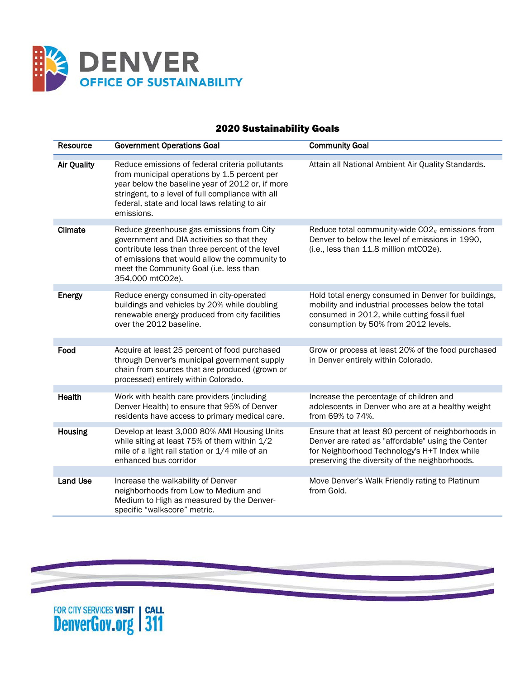

## 2020 Sustainability Goals

| Resource           | <b>Government Operations Goal</b>                                                                                                                                                                                                                                       | <b>Community Goal</b>                                                                                                                                                                                       |
|--------------------|-------------------------------------------------------------------------------------------------------------------------------------------------------------------------------------------------------------------------------------------------------------------------|-------------------------------------------------------------------------------------------------------------------------------------------------------------------------------------------------------------|
| <b>Air Quality</b> | Reduce emissions of federal criteria pollutants<br>from municipal operations by 1.5 percent per<br>year below the baseline year of 2012 or, if more<br>stringent, to a level of full compliance with all<br>federal, state and local laws relating to air<br>emissions. | Attain all National Ambient Air Quality Standards.                                                                                                                                                          |
| Climate            | Reduce greenhouse gas emissions from City<br>government and DIA activities so that they<br>contribute less than three percent of the level<br>of emissions that would allow the community to<br>meet the Community Goal (i.e. less than<br>354,000 mtCO2e).             | Reduce total community-wide CO2 <sub>e</sub> emissions from<br>Denver to below the level of emissions in 1990,<br>(i.e., less than 11.8 million mtCO2e).                                                    |
| Energy             | Reduce energy consumed in city-operated<br>buildings and vehicles by 20% while doubling<br>renewable energy produced from city facilities<br>over the 2012 baseline.                                                                                                    | Hold total energy consumed in Denver for buildings,<br>mobility and industrial processes below the total<br>consumed in 2012, while cutting fossil fuel<br>consumption by 50% from 2012 levels.             |
| Food               | Acquire at least 25 percent of food purchased<br>through Denver's municipal government supply<br>chain from sources that are produced (grown or<br>processed) entirely within Colorado.                                                                                 | Grow or process at least 20% of the food purchased<br>in Denver entirely within Colorado.                                                                                                                   |
| <b>Health</b>      | Work with health care providers (including<br>Denver Health) to ensure that 95% of Denver<br>residents have access to primary medical care.                                                                                                                             | Increase the percentage of children and<br>adolescents in Denver who are at a healthy weight<br>from 69% to 74%.                                                                                            |
| Housing            | Develop at least 3,000 80% AMI Housing Units<br>while siting at least 75% of them within 1/2<br>mile of a light rail station or 1/4 mile of an<br>enhanced bus corridor                                                                                                 | Ensure that at least 80 percent of neighborhoods in<br>Denver are rated as "affordable" using the Center<br>for Neighborhood Technology's H+T Index while<br>preserving the diversity of the neighborhoods. |
| <b>Land Use</b>    | Increase the walkability of Denver<br>neighborhoods from Low to Medium and<br>Medium to High as measured by the Denver-<br>specific "walkscore" metric.                                                                                                                 | Move Denver's Walk Friendly rating to Platinum<br>from Gold.                                                                                                                                                |